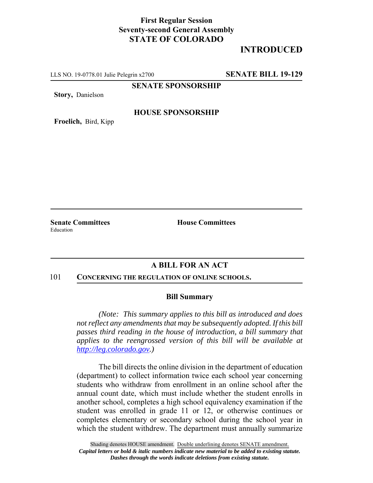## **First Regular Session Seventy-second General Assembly STATE OF COLORADO**

# **INTRODUCED**

LLS NO. 19-0778.01 Julie Pelegrin x2700 **SENATE BILL 19-129**

**SENATE SPONSORSHIP**

**Story,** Danielson

### **HOUSE SPONSORSHIP**

**Froelich,** Bird, Kipp

Education

**Senate Committees House Committees** 

## **A BILL FOR AN ACT**

#### 101 **CONCERNING THE REGULATION OF ONLINE SCHOOLS.**

#### **Bill Summary**

*(Note: This summary applies to this bill as introduced and does not reflect any amendments that may be subsequently adopted. If this bill passes third reading in the house of introduction, a bill summary that applies to the reengrossed version of this bill will be available at http://leg.colorado.gov.)*

The bill directs the online division in the department of education (department) to collect information twice each school year concerning students who withdraw from enrollment in an online school after the annual count date, which must include whether the student enrolls in another school, completes a high school equivalency examination if the student was enrolled in grade 11 or 12, or otherwise continues or completes elementary or secondary school during the school year in which the student withdrew. The department must annually summarize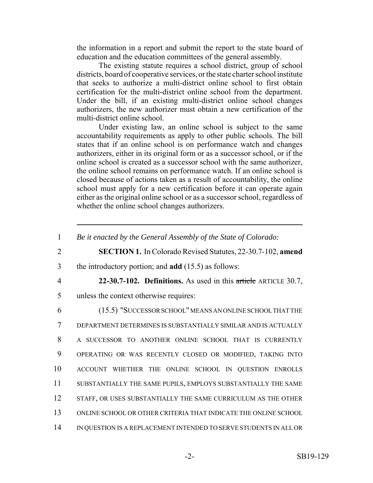the information in a report and submit the report to the state board of education and the education committees of the general assembly.

The existing statute requires a school district, group of school districts, board of cooperative services, or the state charter school institute that seeks to authorize a multi-district online school to first obtain certification for the multi-district online school from the department. Under the bill, if an existing multi-district online school changes authorizers, the new authorizer must obtain a new certification of the multi-district online school.

Under existing law, an online school is subject to the same accountability requirements as apply to other public schools. The bill states that if an online school is on performance watch and changes authorizers, either in its original form or as a successor school, or if the online school is created as a successor school with the same authorizer, the online school remains on performance watch. If an online school is closed because of actions taken as a result of accountability, the online school must apply for a new certification before it can operate again either as the original online school or as a successor school, regardless of whether the online school changes authorizers.

<sup>1</sup> *Be it enacted by the General Assembly of the State of Colorado:* 2 **SECTION 1.** In Colorado Revised Statutes, 22-30.7-102, **amend** 3 the introductory portion; and **add** (15.5) as follows: 4 **22-30.7-102. Definitions.** As used in this article ARTICLE 30.7, 5 unless the context otherwise requires: 6 (15.5) "SUCCESSOR SCHOOL" MEANS AN ONLINE SCHOOL THAT THE 7 DEPARTMENT DETERMINES IS SUBSTANTIALLY SIMILAR AND IS ACTUALLY 8 A SUCCESSOR TO ANOTHER ONLINE SCHOOL THAT IS CURRENTLY 9 OPERATING OR WAS RECENTLY CLOSED OR MODIFIED, TAKING INTO 10 ACCOUNT WHETHER THE ONLINE SCHOOL IN QUESTION ENROLLS 11 SUBSTANTIALLY THE SAME PUPILS, EMPLOYS SUBSTANTIALLY THE SAME 12 STAFF, OR USES SUBSTANTIALLY THE SAME CURRICULUM AS THE OTHER 13 ONLINE SCHOOL OR OTHER CRITERIA THAT INDICATE THE ONLINE SCHOOL 14 IN QUESTION IS A REPLACEMENT INTENDED TO SERVE STUDENTS IN ALL OR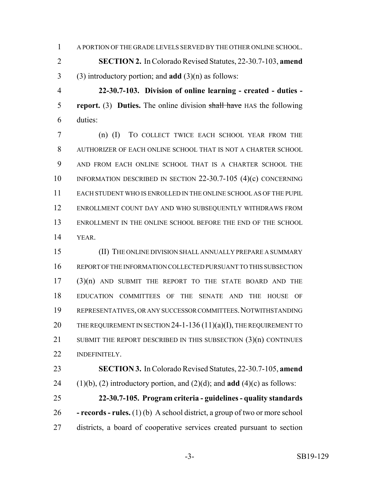A PORTION OF THE GRADE LEVELS SERVED BY THE OTHER ONLINE SCHOOL.

 **SECTION 2.** In Colorado Revised Statutes, 22-30.7-103, **amend** (3) introductory portion; and **add** (3)(n) as follows:

 **22-30.7-103. Division of online learning - created - duties - report.** (3) **Duties.** The online division shall have HAS the following duties:

 (n) (I) TO COLLECT TWICE EACH SCHOOL YEAR FROM THE AUTHORIZER OF EACH ONLINE SCHOOL THAT IS NOT A CHARTER SCHOOL AND FROM EACH ONLINE SCHOOL THAT IS A CHARTER SCHOOL THE INFORMATION DESCRIBED IN SECTION 22-30.7-105 (4)(c) CONCERNING EACH STUDENT WHO IS ENROLLED IN THE ONLINE SCHOOL AS OF THE PUPIL ENROLLMENT COUNT DAY AND WHO SUBSEQUENTLY WITHDRAWS FROM ENROLLMENT IN THE ONLINE SCHOOL BEFORE THE END OF THE SCHOOL YEAR.

 (II) THE ONLINE DIVISION SHALL ANNUALLY PREPARE A SUMMARY REPORT OF THE INFORMATION COLLECTED PURSUANT TO THIS SUBSECTION (3)(n) AND SUBMIT THE REPORT TO THE STATE BOARD AND THE EDUCATION COMMITTEES OF THE SENATE AND THE HOUSE OF REPRESENTATIVES, OR ANY SUCCESSOR COMMITTEES.NOTWITHSTANDING 20 THE REQUIREMENT IN SECTION 24-1-136  $(11)(a)(I)$ , THE REQUIREMENT TO 21 SUBMIT THE REPORT DESCRIBED IN THIS SUBSECTION (3)(n) CONTINUES INDEFINITELY.

 **SECTION 3.** In Colorado Revised Statutes, 22-30.7-105, **amend** 24 (1)(b), (2) introductory portion, and (2)(d); and **add** (4)(c) as follows:

 **22-30.7-105. Program criteria - guidelines - quality standards - records - rules.** (1) (b) A school district, a group of two or more school districts, a board of cooperative services created pursuant to section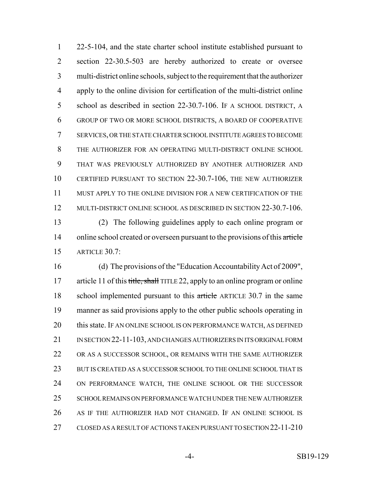22-5-104, and the state charter school institute established pursuant to section 22-30.5-503 are hereby authorized to create or oversee multi-district online schools, subject to the requirement that the authorizer apply to the online division for certification of the multi-district online school as described in section 22-30.7-106. IF A SCHOOL DISTRICT, A GROUP OF TWO OR MORE SCHOOL DISTRICTS, A BOARD OF COOPERATIVE SERVICES, OR THE STATE CHARTER SCHOOL INSTITUTE AGREES TO BECOME THE AUTHORIZER FOR AN OPERATING MULTI-DISTRICT ONLINE SCHOOL THAT WAS PREVIOUSLY AUTHORIZED BY ANOTHER AUTHORIZER AND CERTIFIED PURSUANT TO SECTION 22-30.7-106, THE NEW AUTHORIZER MUST APPLY TO THE ONLINE DIVISION FOR A NEW CERTIFICATION OF THE 12 MULTI-DISTRICT ONLINE SCHOOL AS DESCRIBED IN SECTION 22-30.7-106. (2) The following guidelines apply to each online program or 14 online school created or overseen pursuant to the provisions of this article ARTICLE 30.7:

 (d) The provisions of the "Education Accountability Act of 2009", 17 article 11 of this title, shall TITLE 22, apply to an online program or online 18 school implemented pursuant to this article ARTICLE 30.7 in the same manner as said provisions apply to the other public schools operating in 20 this state. IF AN ONLINE SCHOOL IS ON PERFORMANCE WATCH, AS DEFINED 21 IN SECTION 22-11-103, AND CHANGES AUTHORIZERS IN ITS ORIGINAL FORM OR AS A SUCCESSOR SCHOOL, OR REMAINS WITH THE SAME AUTHORIZER BUT IS CREATED AS A SUCCESSOR SCHOOL TO THE ONLINE SCHOOL THAT IS ON PERFORMANCE WATCH, THE ONLINE SCHOOL OR THE SUCCESSOR SCHOOL REMAINS ON PERFORMANCE WATCH UNDER THE NEW AUTHORIZER AS IF THE AUTHORIZER HAD NOT CHANGED. IF AN ONLINE SCHOOL IS CLOSED AS A RESULT OF ACTIONS TAKEN PURSUANT TO SECTION 22-11-210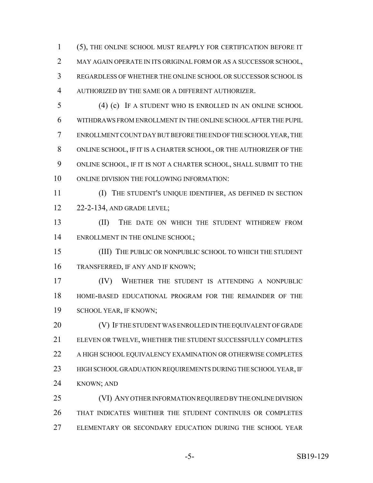(5), THE ONLINE SCHOOL MUST REAPPLY FOR CERTIFICATION BEFORE IT MAY AGAIN OPERATE IN ITS ORIGINAL FORM OR AS A SUCCESSOR SCHOOL, REGARDLESS OF WHETHER THE ONLINE SCHOOL OR SUCCESSOR SCHOOL IS AUTHORIZED BY THE SAME OR A DIFFERENT AUTHORIZER.

- (4) (c) IF A STUDENT WHO IS ENROLLED IN AN ONLINE SCHOOL WITHDRAWS FROM ENROLLMENT IN THE ONLINE SCHOOL AFTER THE PUPIL ENROLLMENT COUNT DAY BUT BEFORE THE END OF THE SCHOOL YEAR, THE ONLINE SCHOOL, IF IT IS A CHARTER SCHOOL, OR THE AUTHORIZER OF THE ONLINE SCHOOL, IF IT IS NOT A CHARTER SCHOOL, SHALL SUBMIT TO THE ONLINE DIVISION THE FOLLOWING INFORMATION:
- (I) THE STUDENT'S UNIQUE IDENTIFIER, AS DEFINED IN SECTION 22-2-134, AND GRADE LEVEL;

13 (II) THE DATE ON WHICH THE STUDENT WITHDREW FROM 14 ENROLLMENT IN THE ONLINE SCHOOL;

 (III) THE PUBLIC OR NONPUBLIC SCHOOL TO WHICH THE STUDENT TRANSFERRED, IF ANY AND IF KNOWN;

 (IV) WHETHER THE STUDENT IS ATTENDING A NONPUBLIC HOME-BASED EDUCATIONAL PROGRAM FOR THE REMAINDER OF THE SCHOOL YEAR, IF KNOWN;

20 (V) IF THE STUDENT WAS ENROLLED IN THE EQUIVALENT OF GRADE ELEVEN OR TWELVE, WHETHER THE STUDENT SUCCESSFULLY COMPLETES 22 A HIGH SCHOOL EQUIVALENCY EXAMINATION OR OTHERWISE COMPLETES 23 HIGH SCHOOL GRADUATION REQUIREMENTS DURING THE SCHOOL YEAR, IF KNOWN; AND

 (VI) ANY OTHER INFORMATION REQUIRED BY THE ONLINE DIVISION THAT INDICATES WHETHER THE STUDENT CONTINUES OR COMPLETES ELEMENTARY OR SECONDARY EDUCATION DURING THE SCHOOL YEAR